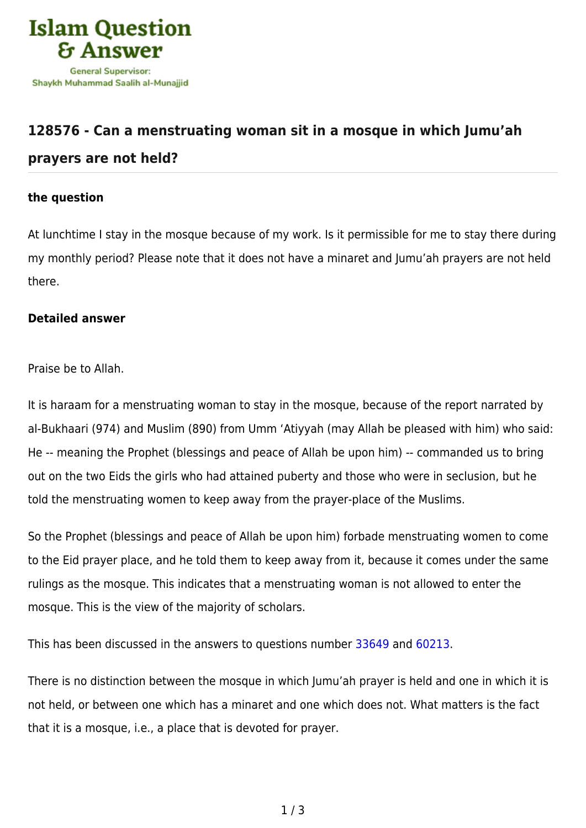

## **[128576 - Can a menstruating woman sit in a mosque in which Jumu'ah](https://islamqa.com/en/answers/128576/can-a-menstruating-woman-sit-in-a-mosque-in-which-jumuah-prayers-are-not-held) [prayers are not held?](https://islamqa.com/en/answers/128576/can-a-menstruating-woman-sit-in-a-mosque-in-which-jumuah-prayers-are-not-held)**

## **the question**

At lunchtime I stay in the mosque because of my work. Is it permissible for me to stay there during my monthly period? Please note that it does not have a minaret and Jumu'ah prayers are not held there.

## **Detailed answer**

Praise be to Allah.

It is haraam for a menstruating woman to stay in the mosque, because of the report narrated by al-Bukhaari (974) and Muslim (890) from Umm 'Atiyyah (may Allah be pleased with him) who said: He -- meaning the Prophet (blessings and peace of Allah be upon him) -- commanded us to bring out on the two Eids the girls who had attained puberty and those who were in seclusion, but he told the menstruating women to keep away from the prayer-place of the Muslims.

So the Prophet (blessings and peace of Allah be upon him) forbade menstruating women to come to the Eid prayer place, and he told them to keep away from it, because it comes under the same rulings as the mosque. This indicates that a menstruating woman is not allowed to enter the mosque. This is the view of the majority of scholars.

This has been discussed in the answers to questions number [33649](https://islamqa.com/en/answers/33649) and [60213](https://islamqa.com/en/answers/60213).

There is no distinction between the mosque in which Jumu'ah prayer is held and one in which it is not held, or between one which has a minaret and one which does not. What matters is the fact that it is a mosque, i.e., a place that is devoted for prayer.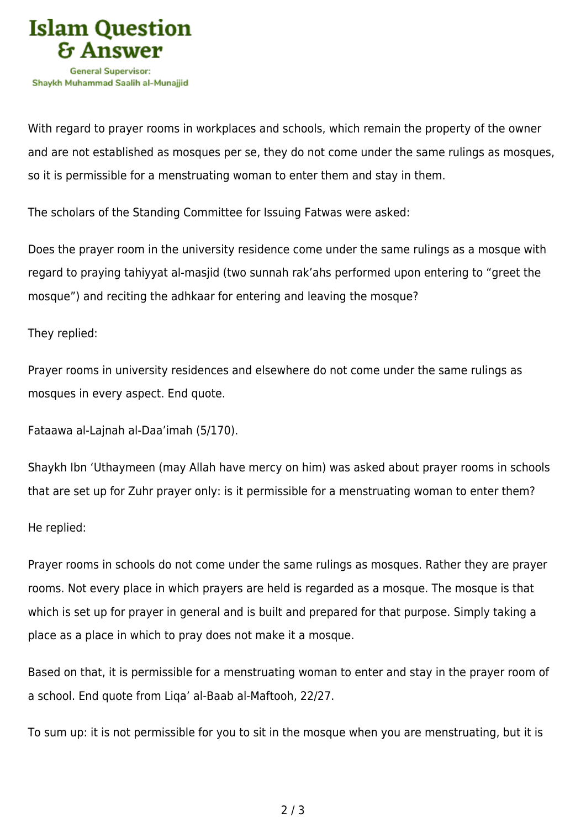

With regard to prayer rooms in workplaces and schools, which remain the property of the owner and are not established as mosques per se, they do not come under the same rulings as mosques, so it is permissible for a menstruating woman to enter them and stay in them.

The scholars of the Standing Committee for Issuing Fatwas were asked:

Does the prayer room in the university residence come under the same rulings as a mosque with regard to praying tahiyyat al-masjid (two sunnah rak'ahs performed upon entering to "greet the mosque") and reciting the adhkaar for entering and leaving the mosque?

## They replied:

Prayer rooms in university residences and elsewhere do not come under the same rulings as mosques in every aspect. End quote.

Fataawa al-Lajnah al-Daa'imah (5/170).

Shaykh Ibn 'Uthaymeen (may Allah have mercy on him) was asked about prayer rooms in schools that are set up for Zuhr prayer only: is it permissible for a menstruating woman to enter them?

He replied:

Prayer rooms in schools do not come under the same rulings as mosques. Rather they are prayer rooms. Not every place in which prayers are held is regarded as a mosque. The mosque is that which is set up for prayer in general and is built and prepared for that purpose. Simply taking a place as a place in which to pray does not make it a mosque.

Based on that, it is permissible for a menstruating woman to enter and stay in the prayer room of a school. End quote from Liqa' al-Baab al-Maftooh, 22/27.

To sum up: it is not permissible for you to sit in the mosque when you are menstruating, but it is